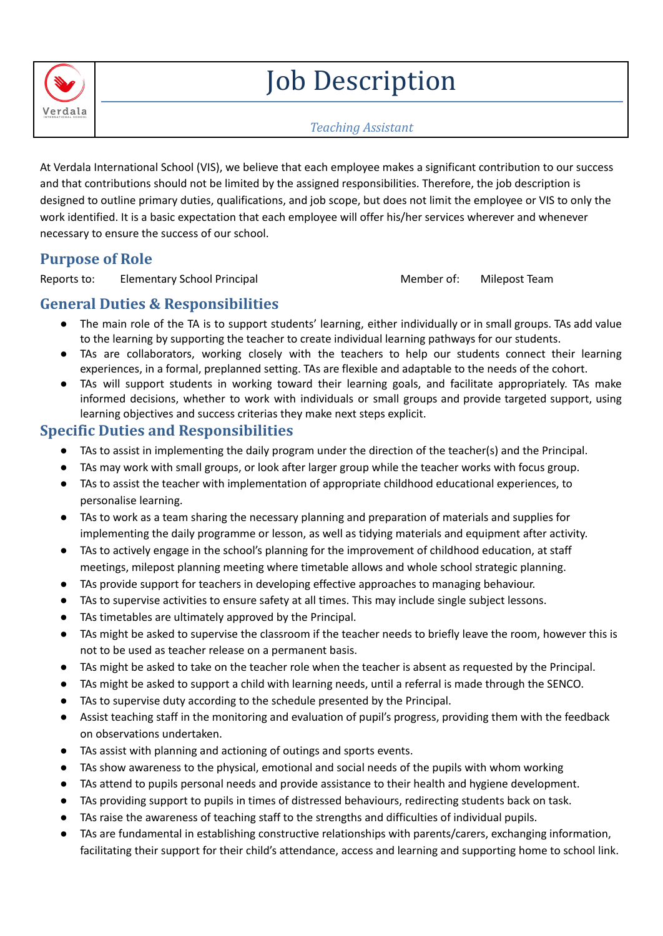

# Job Description

#### *Teaching Assistant*

At Verdala International School (VIS), we believe that each employee makes a significant contribution to our success and that contributions should not be limited by the assigned responsibilities. Therefore, the job description is designed to outline primary duties, qualifications, and job scope, but does not limit the employee or VIS to only the work identified. It is a basic expectation that each employee will offer his/her services wherever and whenever necessary to ensure the success of our school.

## **Purpose of Role**

Reports to: Elementary School Principal Member of: Milepost Team

## **General Duties & Responsibilities**

- The main role of the TA is to support students' learning, either individually or in small groups. TAs add value to the learning by supporting the teacher to create individual learning pathways for our students.
- TAs are collaborators, working closely with the teachers to help our students connect their learning experiences, in a formal, preplanned setting. TAs are flexible and adaptable to the needs of the cohort.
- TAs will support students in working toward their learning goals, and facilitate appropriately. TAs make informed decisions, whether to work with individuals or small groups and provide targeted support, using learning objectives and success criterias they make next steps explicit.

### **Specific Duties and Responsibilities**

- TAs to assist in implementing the daily program under the direction of the teacher(s) and the Principal.
- TAs may work with small groups, or look after larger group while the teacher works with focus group.
- TAs to assist the teacher with implementation of appropriate childhood educational experiences, to personalise learning.
- TAs to work as a team sharing the necessary planning and preparation of materials and supplies for implementing the daily programme or lesson, as well as tidying materials and equipment after activity.
- TAs to actively engage in the school's planning for the improvement of childhood education, at staff meetings, milepost planning meeting where timetable allows and whole school strategic planning.
- TAs provide support for teachers in developing effective approaches to managing behaviour.
- TAs to supervise activities to ensure safety at all times. This may include single subject lessons.
- TAs timetables are ultimately approved by the Principal.
- TAs might be asked to supervise the classroom if the teacher needs to briefly leave the room, however this is not to be used as teacher release on a permanent basis.
- TAs might be asked to take on the teacher role when the teacher is absent as requested by the Principal.
- TAs might be asked to support a child with learning needs, until a referral is made through the SENCO.
- TAs to supervise duty according to the schedule presented by the Principal.
- Assist teaching staff in the monitoring and evaluation of pupil's progress, providing them with the feedback on observations undertaken.
- TAs assist with planning and actioning of outings and sports events.
- TAs show awareness to the physical, emotional and social needs of the pupils with whom working
- TAs attend to pupils personal needs and provide assistance to their health and hygiene development.
- TAs providing support to pupils in times of distressed behaviours, redirecting students back on task.
- TAs raise the awareness of teaching staff to the strengths and difficulties of individual pupils.
- TAs are fundamental in establishing constructive relationships with parents/carers, exchanging information, facilitating their support for their child's attendance, access and learning and supporting home to school link.